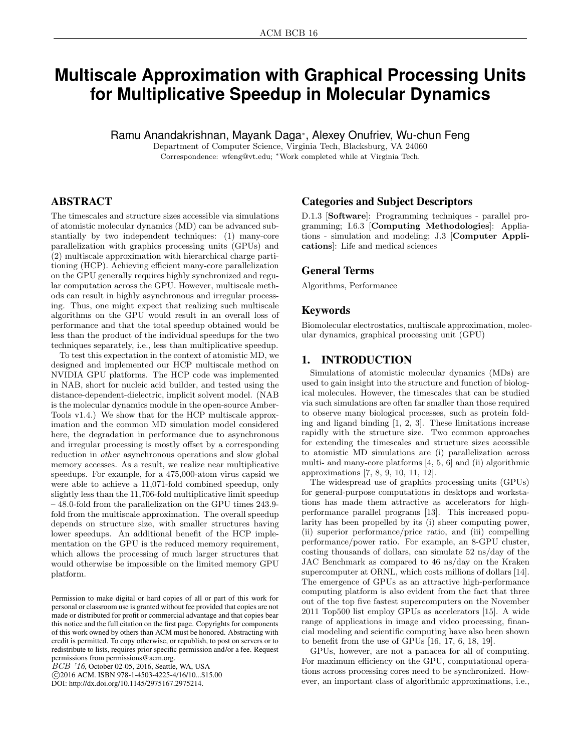# **Multiscale Approximation with Graphical Processing Units for Multiplicative Speedup in Molecular Dynamics**

Ramu Anandakrishnan, Mayank Daga<sup>∗</sup> , Alexey Onufriev, Wu-chun Feng

Department of Computer Science, Virginia Tech, Blacksburg, VA 24060 Correspondence: wfeng@vt.edu; <sup>∗</sup>Work completed while at Virginia Tech.

## ABSTRACT

The timescales and structure sizes accessible via simulations of atomistic molecular dynamics (MD) can be advanced substantially by two independent techniques: (1) many-core parallelization with graphics processing units (GPUs) and (2) multiscale approximation with hierarchical charge partitioning (HCP). Achieving efficient many-core parallelization on the GPU generally requires highly synchronized and regular computation across the GPU. However, multiscale methods can result in highly asynchronous and irregular processing. Thus, one might expect that realizing such multiscale algorithms on the GPU would result in an overall loss of performance and that the total speedup obtained would be less than the product of the individual speedups for the two techniques separately, i.e., less than multiplicative speedup.

To test this expectation in the context of atomistic MD, we designed and implemented our HCP multiscale method on NVIDIA GPU platforms. The HCP code was implemented in NAB, short for nucleic acid builder, and tested using the distance-dependent-dielectric, implicit solvent model. (NAB is the molecular dynamics module in the open-source Amber-Tools v1.4.) We show that for the HCP multiscale approximation and the common MD simulation model considered here, the degradation in performance due to asynchronous and irregular processing is mostly offset by a corresponding reduction in other asynchronous operations and slow global memory accesses. As a result, we realize near multiplicative speedups. For example, for a 475,000-atom virus capsid we were able to achieve a 11,071-fold combined speedup, only slightly less than the 11,706-fold multiplicative limit speedup – 48.0-fold from the parallelization on the GPU times 243.9 fold from the multiscale approximation. The overall speedup depends on structure size, with smaller structures having lower speedups. An additional benefit of the HCP implementation on the GPU is the reduced memory requirement, which allows the processing of much larger structures that would otherwise be impossible on the limited memory GPU platform.

BCB '16, October 02-05, 2016, Seattle, WA, USA

 c 2016 ACM. ISBN 978-1-4503-4225-4/16/10...\$15.00 DOI: http://dx.doi.org/10.1145/2975167.2975214.

## Categories and Subject Descriptors

D.1.3 [Software]: Programming techniques - parallel programming; I.6.3 [Computing Methodologies]: Appliations - simulation and modeling; J.3 [Computer Applications]: Life and medical sciences

## General Terms

Algorithms, Performance

## Keywords

Biomolecular electrostatics, multiscale approximation, molecular dynamics, graphical processing unit (GPU)

## 1. INTRODUCTION

Simulations of atomistic molecular dynamics (MDs) are used to gain insight into the structure and function of biological molecules. However, the timescales that can be studied via such simulations are often far smaller than those required to observe many biological processes, such as protein folding and ligand binding [1, 2, 3]. These limitations increase rapidly with the structure size. Two common approaches for extending the timescales and structure sizes accessible to atomistic MD simulations are (i) parallelization across multi- and many-core platforms [4, 5, 6] and (ii) algorithmic approximations [7, 8, 9, 10, 11, 12].

The widespread use of graphics processing units (GPUs) for general-purpose computations in desktops and workstations has made them attractive as accelerators for highperformance parallel programs [13]. This increased popularity has been propelled by its (i) sheer computing power, (ii) superior performance/price ratio, and (iii) compelling performance/power ratio. For example, an 8-GPU cluster, costing thousands of dollars, can simulate 52 ns/day of the JAC Benchmark as compared to 46 ns/day on the Kraken supercomputer at ORNL, which costs millions of dollars [14]. The emergence of GPUs as an attractive high-performance computing platform is also evident from the fact that three out of the top five fastest supercomputers on the November 2011 Top500 list employ GPUs as accelerators [15]. A wide range of applications in image and video processing, financial modeling and scientific computing have also been shown to benefit from the use of GPUs [16, 17, 6, 18, 19].

GPUs, however, are not a panacea for all of computing. For maximum efficiency on the GPU, computational operations across processing cores need to be synchronized. However, an important class of algorithmic approximations, i.e.,

Permission to make digital or hard copies of all or part of this work for personal or classroom use is granted without fee provided that copies are not made or distributed for profit or commercial advantage and that copies bear this notice and the full citation on the first page. Copyrights for components of this work owned by others than ACM must be honored. Abstracting with credit is permitted. To copy otherwise, or republish, to post on servers or to redistribute to lists, requires prior specific permission and/or a fee. Request permissions from permissions@acm.org.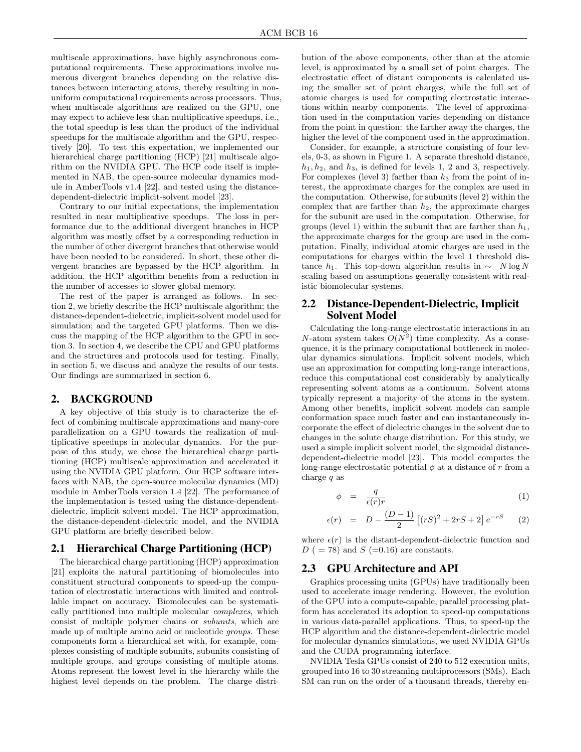multiscale approximations, have highly asynchronous computational requirements. These approximations involve numerous divergent branches depending on the relative distances between interacting atoms, thereby resulting in nonuniform computational requirements across processors. Thus, when multiscale algorithms are realized on the GPU, one may expect to achieve less than multiplicative speedups, i.e., the total speedup is less than the product of the individual speedups for the multiscale algorithm and the GPU, respectively [20]. To test this expectation, we implemented our hierarchical charge partitioning (HCP) [21] multiscale algorithm on the NVIDIA GPU. The HCP code itself is implemented in NAB, the open-source molecular dynamics module in AmberTools v1.4 [22], and tested using the distancedependent-dielectric implicit-solvent model [23].

Contrary to our initial expectations, the implementation resulted in near multiplicative speedups. The loss in performance due to the additional divergent branches in HCP algorithm was mostly offset by a corresponding reduction in the number of other divergent branches that otherwise would have been needed to be considered. In short, these other divergent branches are bypassed by the HCP algorithm. In addition, the HCP algorithm benefits from a reduction in the number of accesses to slower global memory.

The rest of the paper is arranged as follows. In section 2, we briefly describe the HCP multiscale algorithm; the distance-dependent-dielectric, implicit-solvent model used for simulation; and the targeted GPU platforms. Then we discuss the mapping of the HCP algorithm to the GPU in section 3. In section 4, we describe the CPU and GPU platforms and the structures and protocols used for testing. Finally, in section 5, we discuss and analyze the results of our tests. Our findings are summarized in section 6.

#### 2. BACKGROUND

A key objective of this study is to characterize the effect of combining multiscale approximations and many-core parallelization on a GPU towards the realization of multiplicative speedups in molecular dynamics. For the purpose of this study, we chose the hierarchical charge partitioning (HCP) multiscale approximation and accelerated it using the NVIDIA GPU platform. Our HCP software interfaces with NAB, the open-source molecular dynamics (MD) module in AmberTools version 1.4 [22]. The performance of the implementation is tested using the distance-dependentdielectric, implicit solvent model. The HCP approximation, the distance-dependent-dielectric model, and the NVIDIA GPU platform are briefly described below.

## 2.1 Hierarchical Charge Partitioning (HCP)

The hierarchical charge partitioning (HCP) approximation [21] exploits the natural partitioning of biomolecules into constituent structural components to speed-up the computation of electrostatic interactions with limited and controllable impact on accuracy. Biomolecules can be systematically partitioned into multiple molecular complexes, which consist of multiple polymer chains or subunits, which are made up of multiple amino acid or nucleotide groups. These components form a hierarchical set with, for example, complexes consisting of multiple subunits, subunits consisting of multiple groups, and groups consisting of multiple atoms. Atoms represent the lowest level in the hierarchy while the highest level depends on the problem. The charge distribution of the above components, other than at the atomic level, is approximated by a small set of point charges. The electrostatic effect of distant components is calculated using the smaller set of point charges, while the full set of atomic charges is used for computing electrostatic interactions within nearby components. The level of approximation used in the computation varies depending on distance from the point in question: the farther away the charges, the higher the level of the component used in the approximation.

Consider, for example, a structure consisting of four levels, 0-3, as shown in Figure 1. A separate threshold distance,  $h_1, h_2$ , and  $h_3$ , is defined for levels 1, 2 and 3, respectively. For complexes (level 3) farther than  $h_3$  from the point of interest, the approximate charges for the complex are used in the computation. Otherwise, for subunits (level 2) within the complex that are farther than  $h_2$ , the approximate charges for the subunit are used in the computation. Otherwise, for groups (level 1) within the subunit that are farther than  $h_1$ , the approximate charges for the group are used in the computation. Finally, individual atomic charges are used in the computations for charges within the level 1 threshold distance  $h_1$ . This top-down algorithm results in ∼ N log N scaling based on assumptions generally consistent with realistic biomolecular systems.

## 2.2 Distance-Dependent-Dielectric, Implicit Solvent Model

Calculating the long-range electrostatic interactions in an N-atom system takes  $O(N^2)$  time complexity. As a consequence, it is the primary computational bottleneck in molecular dynamics simulations. Implicit solvent models, which use an approximation for computing long-range interactions, reduce this computational cost considerably by analytically representing solvent atoms as a continuum. Solvent atoms typically represent a majority of the atoms in the system. Among other benefits, implicit solvent models can sample conformation space much faster and can instantaneously incorporate the effect of dielectric changes in the solvent due to changes in the solute charge distribution. For this study, we used a simple implicit solvent model, the sigmoidal distancedependent-dielectric model [23]. This model computes the long-range electrostatic potential  $\phi$  at a distance of r from a charge  $q$  as

$$
\phi = \frac{q}{\epsilon(r)r} \tag{1}
$$

$$
\epsilon(r) = D - \frac{(D-1)}{2} \left[ (rS)^2 + 2rS + 2 \right] e^{-rS} \tag{2}
$$

where  $\epsilon(r)$  is the distant-dependent-dielectric function and  $D$  ( = 78) and  $S$  (=0.16) are constants.

### 2.3 GPU Architecture and API

Graphics processing units (GPUs) have traditionally been used to accelerate image rendering. However, the evolution of the GPU into a compute-capable, parallel processing platform has accelerated its adoption to speed-up computations in various data-parallel applications. Thus, to speed-up the HCP algorithm and the distance-dependent-dielectric model for molecular dynamics simulations, we used NVIDIA GPUs and the CUDA programming interface.

NVIDIA Tesla GPUs consist of 240 to 512 execution units, grouped into 16 to 30 streaming multiprocessors (SMs). Each SM can run on the order of a thousand threads, thereby en-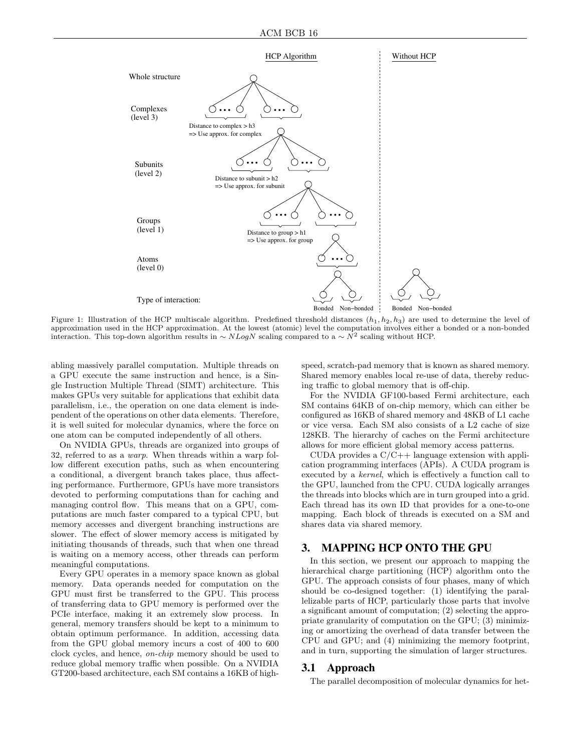

Figure 1: Illustration of the HCP multiscale algorithm. Predefined threshold distances  $(h_1, h_2, h_3)$  are used to determine the level of approximation used in the HCP approximation. At the lowest (atomic) level the computation involves either a bonded or a non-bonded interaction. This top-down algorithm results in  $\sim NLogN$  scaling compared to a  $\sim N^2$  scaling without HCP.

abling massively parallel computation. Multiple threads on a GPU execute the same instruction and hence, is a Single Instruction Multiple Thread (SIMT) architecture. This makes GPUs very suitable for applications that exhibit data parallelism, i.e., the operation on one data element is independent of the operations on other data elements. Therefore, it is well suited for molecular dynamics, where the force on one atom can be computed independently of all others.

On NVIDIA GPUs, threads are organized into groups of 32, referred to as a warp. When threads within a warp follow different execution paths, such as when encountering a conditional, a divergent branch takes place, thus affecting performance. Furthermore, GPUs have more transistors devoted to performing computations than for caching and managing control flow. This means that on a GPU, computations are much faster compared to a typical CPU, but memory accesses and divergent branching instructions are slower. The effect of slower memory access is mitigated by initiating thousands of threads, such that when one thread is waiting on a memory access, other threads can perform meaningful computations.

Every GPU operates in a memory space known as global memory. Data operands needed for computation on the GPU must first be transferred to the GPU. This process of transferring data to GPU memory is performed over the PCIe interface, making it an extremely slow process. In general, memory transfers should be kept to a minimum to obtain optimum performance. In addition, accessing data from the GPU global memory incurs a cost of 400 to 600 clock cycles, and hence, on-chip memory should be used to reduce global memory traffic when possible. On a NVIDIA GT200-based architecture, each SM contains a 16KB of high-

speed, scratch-pad memory that is known as shared memory. Shared memory enables local re-use of data, thereby reducing traffic to global memory that is off-chip.

For the NVIDIA GF100-based Fermi architecture, each SM contains 64KB of on-chip memory, which can either be configured as 16KB of shared memory and 48KB of L1 cache or vice versa. Each SM also consists of a L2 cache of size 128KB. The hierarchy of caches on the Fermi architecture allows for more efficient global memory access patterns.

CUDA provides a  $C/C++$  language extension with application programming interfaces (APIs). A CUDA program is executed by a kernel, which is effectively a function call to the GPU, launched from the CPU. CUDA logically arranges the threads into blocks which are in turn grouped into a grid. Each thread has its own ID that provides for a one-to-one mapping. Each block of threads is executed on a SM and shares data via shared memory.

# 3. MAPPING HCP ONTO THE GPU

In this section, we present our approach to mapping the hierarchical charge partitioning (HCP) algorithm onto the GPU. The approach consists of four phases, many of which should be co-designed together: (1) identifying the parallelizable parts of HCP, particularly those parts that involve a significant amount of computation; (2) selecting the appropriate granularity of computation on the GPU; (3) minimizing or amortizing the overhead of data transfer between the CPU and GPU; and (4) minimizing the memory footprint, and in turn, supporting the simulation of larger structures.

#### 3.1 Approach

The parallel decomposition of molecular dynamics for het-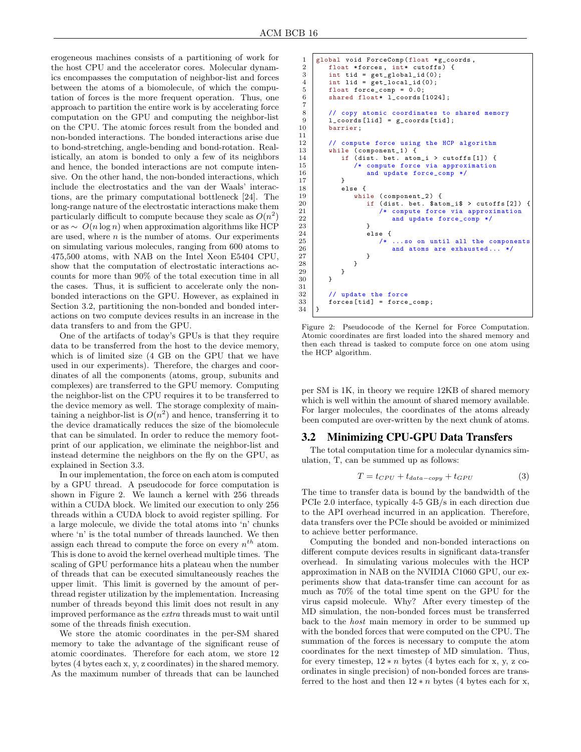erogeneous machines consists of a partitioning of work for the host CPU and the accelerator cores. Molecular dynamics encompasses the computation of neighbor-list and forces between the atoms of a biomolecule, of which the computation of forces is the more frequent operation. Thus, one approach to partition the entire work is by accelerating force computation on the GPU and computing the neighbor-list on the CPU. The atomic forces result from the bonded and non-bonded interactions. The bonded interactions arise due to bond-stretching, angle-bending and bond-rotation. Realistically, an atom is bonded to only a few of its neighbors and hence, the bonded interactions are not compute intensive. On the other hand, the non-bonded interactions, which include the electrostatics and the van der Waals' interactions, are the primary computational bottleneck [24]. The long-range nature of the electrostatic interactions make them particularly difficult to compute because they scale as  $O(n^2)$ or as  $\sim O(n \log n)$  when approximation algorithms like HCP are used, where  $n$  is the number of atoms. Our experiments on simulating various molecules, ranging from 600 atoms to 475,500 atoms, with NAB on the Intel Xeon E5404 CPU, show that the computation of electrostatic interactions accounts for more than 90% of the total execution time in all the cases. Thus, it is sufficient to accelerate only the nonbonded interactions on the GPU. However, as explained in Section 3.2, partitioning the non-bonded and bonded interactions on two compute devices results in an increase in the data transfers to and from the GPU.

One of the artifacts of today's GPUs is that they require data to be transferred from the host to the device memory, which is of limited size (4 GB on the GPU that we have used in our experiments). Therefore, the charges and coordinates of all the components (atoms, group, subunits and complexes) are transferred to the GPU memory. Computing the neighbor-list on the CPU requires it to be transferred to the device memory as well. The storage complexity of maintaining a neighbor-list is  $O(n^2)$  and hence, transferring it to the device dramatically reduces the size of the biomolecule that can be simulated. In order to reduce the memory footprint of our application, we eliminate the neighbor-list and instead determine the neighbors on the fly on the GPU, as explained in Section 3.3.

In our implementation, the force on each atom is computed by a GPU thread. A pseudocode for force computation is shown in Figure 2. We launch a kernel with 256 threads within a CUDA block. We limited our execution to only 256 threads within a CUDA block to avoid register spilling. For a large molecule, we divide the total atoms into 'n' chunks where 'n' is the total number of threads launched. We then assign each thread to compute the force on every  $n^{th}$  atom. This is done to avoid the kernel overhead multiple times. The scaling of GPU performance hits a plateau when the number of threads that can be executed simultaneously reaches the upper limit. This limit is governed by the amount of perthread register utilization by the implementation. Increasing number of threads beyond this limit does not result in any improved performance as the extra threads must to wait until some of the threads finish execution.

We store the atomic coordinates in the per-SM shared memory to take the advantage of the significant reuse of atomic coordinates. Therefore for each atom, we store 12 bytes (4 bytes each x, y, z coordinates) in the shared memory. As the maximum number of threads that can be launched

```
1 global void ForceComp (float * g_coords, float * forces, int* cutoffs) {
 2 float *forces, int* cutoffs) {<br>3 int tid = get_global_id(0);
 3 int tid = get_global_id(0);<br>4 int lid = get local id(0):
 4 int lid = get\_local_id(0);<br>5 float force_comp = 0.0;
 5 float force_comp = 0.0;<br>6 shared float* 1 coords
            shared float* 1 coords [1024];
 \begin{array}{c} 7 \\ 8 \end{array}8 // copy atomic coordinates to shared memory<br>9 1 coords [lid] = g coords [tid]:
\begin{array}{c|c} 9 & 1 \text{--} \text{coordinates} \text{[lid]} = \text{g\_ \text{coordinates} \text{[tid]}}; \\ 10 & \text{barrier}; \end{array}barrier;
\begin{array}{c} 11 \\ 12 \end{array}12 // compute force using the HCP algorithm<br>13 while (component 1) {
\begin{array}{c|c} 13 & \text{while } ( \text{component}_1 ) \\ 14 & \text{if } ( \text{dist. bet. ato}) \end{array}14 if (dist. bet. atom_i > cutoffs [1]) {<br>
\frac{15}{15} /* compute force via approximation
15 /* compute force via approximation<br>16 <br>and update force_comp */
                 and update force_comp */
17 }
\begin{array}{c|c} 18 & \text{else} & \text{else} \\ 19 & & \text{while} \end{array}while (component_2) {
20 if (dist. bet. $atom_i$ > cutoffs [2])<br>21 /* compute force via approximation
21 /* compute force via approximation<br>22 and update force_comp */
22 and update force_comp */<br>23 }
23 }
\begin{array}{c|c}\n 24 & \text{else} \\
 25 & \end{array}25 /* ... so on until all the components<br>26 and atoms are exhausted... */
26 and atoms are exhausted... */<br>27
27 }
28 }
29 }
30 }
31
32 // update the force
33 forces [tid] = force_comp;
34 }
```
Figure 2: Pseudocode of the Kernel for Force Computation. Atomic coordinates are first loaded into the shared memory and then each thread is tasked to compute force on one atom using the HCP algorithm.

per SM is 1K, in theory we require 12KB of shared memory which is well within the amount of shared memory available. For larger molecules, the coordinates of the atoms already been computed are over-written by the next chunk of atoms.

## 3.2 Minimizing CPU-GPU Data Transfers

The total computation time for a molecular dynamics simulation, T, can be summed up as follows:

$$
T = t_{CPU} + t_{data-copy} + t_{GPU}
$$
 (3)

The time to transfer data is bound by the bandwidth of the PCIe 2.0 interface, typically 4-5 GB/s in each direction due to the API overhead incurred in an application. Therefore, data transfers over the PCIe should be avoided or minimized to achieve better performance.

Computing the bonded and non-bonded interactions on different compute devices results in significant data-transfer overhead. In simulating various molecules with the HCP approximation in NAB on the NVIDIA C1060 GPU, our experiments show that data-transfer time can account for as much as 70% of the total time spent on the GPU for the virus capsid molecule. Why? After every timestep of the MD simulation, the non-bonded forces must be transferred back to the host main memory in order to be summed up with the bonded forces that were computed on the CPU. The summation of the forces is necessary to compute the atom coordinates for the next timestep of MD simulation. Thus, for every timestep,  $12 * n$  bytes (4 bytes each for x, y, z coordinates in single precision) of non-bonded forces are transferred to the host and then  $12 * n$  bytes (4 bytes each for x,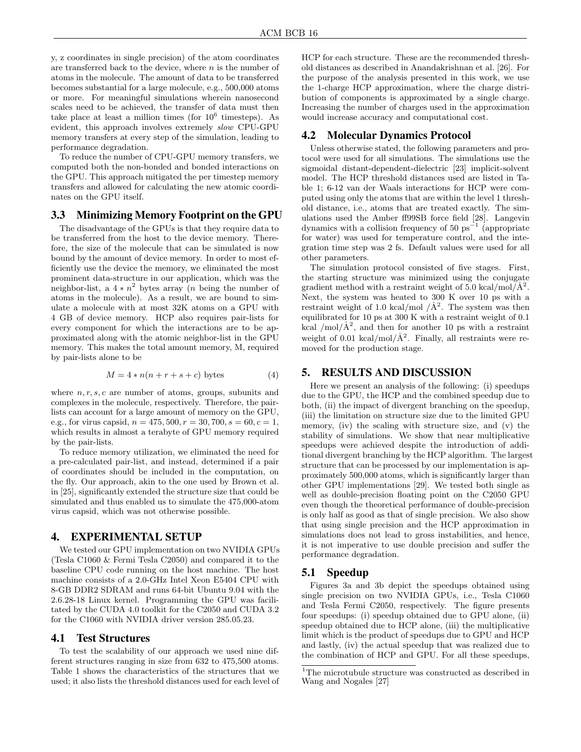y, z coordinates in single precision) of the atom coordinates are transferred back to the device, where  $n$  is the number of atoms in the molecule. The amount of data to be transferred becomes substantial for a large molecule, e.g., 500,000 atoms or more. For meaningful simulations wherein nanosecond scales need to be achieved, the transfer of data must then take place at least a million times (for  $10^6$  timesteps). As evident, this approach involves extremely slow CPU-GPU memory transfers at every step of the simulation, leading to performance degradation.

To reduce the number of CPU-GPU memory transfers, we computed both the non-bonded and bonded interactions on the GPU. This approach mitigated the per timestep memory transfers and allowed for calculating the new atomic coordinates on the GPU itself.

#### 3.3 Minimizing Memory Footprint on the GPU

The disadvantage of the GPUs is that they require data to be transferred from the host to the device memory. Therefore, the size of the molecule that can be simulated is now bound by the amount of device memory. In order to most efficiently use the device the memory, we eliminated the most prominent data-structure in our application, which was the neighbor-list, a  $4 * n^2$  bytes array (*n* being the number of atoms in the molecule). As a result, we are bound to simulate a molecule with at most 32K atoms on a GPU with 4 GB of device memory. HCP also requires pair-lists for every component for which the interactions are to be approximated along with the atomic neighbor-list in the GPU memory. This makes the total amount memory, M, required by pair-lists alone to be

$$
M = 4 * n(n + r + s + c) \text{ bytes} \tag{4}
$$

where  $n, r, s, c$  are number of atoms, groups, subunits and complexes in the molecule, respectively. Therefore, the pairlists can account for a large amount of memory on the GPU, e.g., for virus capsid,  $n = 475, 500, r = 30, 700, s = 60, c = 1$ , which results in almost a terabyte of GPU memory required by the pair-lists.

To reduce memory utilization, we eliminated the need for a pre-calculated pair-list, and instead, determined if a pair of coordinates should be included in the computation, on the fly. Our approach, akin to the one used by Brown et al. in [25], significantly extended the structure size that could be simulated and thus enabled us to simulate the 475,000-atom virus capsid, which was not otherwise possible.

#### 4. EXPERIMENTAL SETUP

We tested our GPU implementation on two NVIDIA GPUs (Tesla C1060 & Fermi Tesla C2050) and compared it to the baseline CPU code running on the host machine. The host machine consists of a 2.0-GHz Intel Xeon E5404 CPU with 8-GB DDR2 SDRAM and runs 64-bit Ubuntu 9.04 with the 2.6.28-18 Linux kernel. Programming the GPU was facilitated by the CUDA 4.0 toolkit for the C2050 and CUDA 3.2 for the C1060 with NVIDIA driver version 285.05.23.

#### 4.1 Test Structures

To test the scalability of our approach we used nine different structures ranging in size from 632 to 475,500 atoms. Table 1 shows the characteristics of the structures that we used; it also lists the threshold distances used for each level of HCP for each structure. These are the recommended threshold distances as described in Anandakrishnan et al. [26]. For the purpose of the analysis presented in this work, we use the 1-charge HCP approximation, where the charge distribution of components is approximated by a single charge. Increasing the number of charges used in the approximation would increase accuracy and computational cost.

## 4.2 Molecular Dynamics Protocol

Unless otherwise stated, the following parameters and protocol were used for all simulations. The simulations use the sigmoidal distant-dependent-dielectric [23] implicit-solvent model. The HCP threshold distances used are listed in Table 1; 6-12 van der Waals interactions for HCP were computed using only the atoms that are within the level 1 threshold distance, i.e., atoms that are treated exactly. The simulations used the Amber ff99SB force field [28]. Langevin dynamics with a collision frequency of 50  $ps^{-1}$  (appropriate for water) was used for temperature control, and the integration time step was 2 fs. Default values were used for all other parameters.

The simulation protocol consisted of five stages. First, the starting structure was minimized using the conjugate gradient method with a restraint weight of 5.0 kcal/mol/ $\AA$ <sup>2</sup>. Next, the system was heated to 300 K over 10 ps with a restraint weight of 1.0 kcal/mol  $/\AA^2$ . The system was then equilibrated for 10 ps at 300 K with a restraint weight of 0.1 kcal /mol/ $\AA^2$ , and then for another 10 ps with a restraint weight of 0.01 kcal/mol/ $\AA^2$ . Finally, all restraints were removed for the production stage.

## 5. RESULTS AND DISCUSSION

Here we present an analysis of the following: (i) speedups due to the GPU, the HCP and the combined speedup due to both, (ii) the impact of divergent branching on the speedup, (iii) the limitation on structure size due to the limited GPU memory, (iv) the scaling with structure size, and (v) the stability of simulations. We show that near multiplicative speedups were achieved despite the introduction of additional divergent branching by the HCP algorithm. The largest structure that can be processed by our implementation is approximately 500,000 atoms, which is significantly larger than other GPU implementations [29]. We tested both single as well as double-precision floating point on the C2050 GPU even though the theoretical performance of double-precision is only half as good as that of single precision. We also show that using single precision and the HCP approximation in simulations does not lead to gross instabilities, and hence, it is not imperative to use double precision and suffer the performance degradation.

### 5.1 Speedup

Figures 3a and 3b depict the speedups obtained using single precision on two NVIDIA GPUs, i.e., Tesla C1060 and Tesla Fermi C2050, respectively. The figure presents four speedups: (i) speedup obtained due to GPU alone, (ii) speedup obtained due to HCP alone, (iii) the multiplicative limit which is the product of speedups due to GPU and HCP and lastly, (iv) the actual speedup that was realized due to the combination of HCP and GPU. For all these speedups,

 $1$ <sup>1</sup>The microtubule structure was constructed as described in Wang and Nogales [27]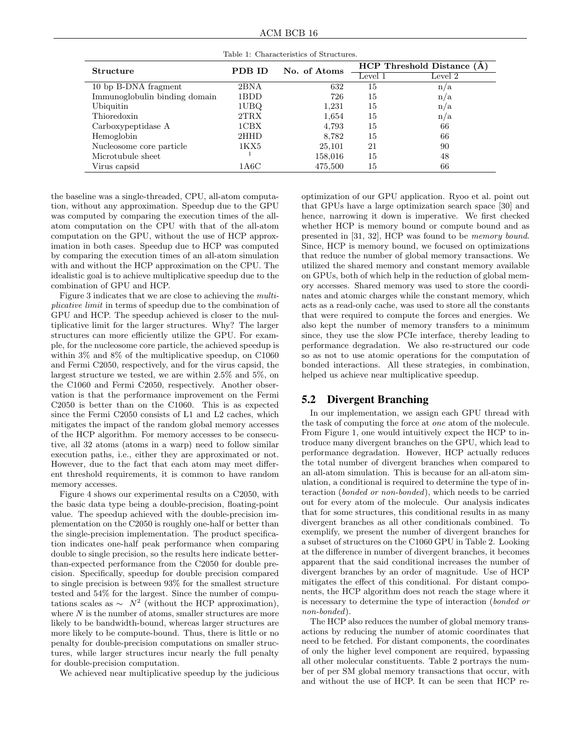ACM BCB 16

| Structure                     | PDB ID | No. of Atoms | $HCP$ Threshold Distance $(A)$ |         |
|-------------------------------|--------|--------------|--------------------------------|---------|
|                               |        |              | Level 1                        | Level 2 |
| 10 bp B-DNA fragment          | 2BNA   | 632          | 15                             | n/a     |
| Immunoglobulin binding domain | 1BDD   | 726          | 15                             | n/a     |
| Ubiquitin                     | 1UBQ   | 1,231        | 15                             | n/a     |
| Thioredoxin                   | 2TRX   | 1,654        | 15                             | n/a     |
| Carboxypeptidase A            | 1CBX   | 4,793        | 15                             | 66      |
| Hemoglobin                    | 2HHD   | 8,782        | 15                             | 66      |
| Nucleosome core particle      | 1KX5   | 25,101       | 21                             | 90      |
| Microtubule sheet             |        | 158,016      | 15                             | 48      |
| Virus capsid                  | 1A6C   | 475,500      | 15                             | 66      |

Table 1: Characteristics of Structures.

the baseline was a single-threaded, CPU, all-atom computation, without any approximation. Speedup due to the GPU was computed by comparing the execution times of the allatom computation on the CPU with that of the all-atom computation on the GPU, without the use of HCP approximation in both cases. Speedup due to HCP was computed by comparing the execution times of an all-atom simulation with and without the HCP approximation on the CPU. The idealistic goal is to achieve multiplicative speedup due to the combination of GPU and HCP.

Figure 3 indicates that we are close to achieving the multiplicative limit in terms of speedup due to the combination of GPU and HCP. The speedup achieved is closer to the multiplicative limit for the larger structures. Why? The larger structures can more efficiently utilize the GPU. For example, for the nucleosome core particle, the achieved speedup is within 3% and 8% of the multiplicative speedup, on C1060 and Fermi C2050, respectively, and for the virus capsid, the largest structure we tested, we are within 2.5% and 5%, on the C1060 and Fermi C2050, respectively. Another observation is that the performance improvement on the Fermi C2050 is better than on the C1060. This is as expected since the Fermi C2050 consists of L1 and L2 caches, which mitigates the impact of the random global memory accesses of the HCP algorithm. For memory accesses to be consecutive, all 32 atoms (atoms in a warp) need to follow similar execution paths, i.e., either they are approximated or not. However, due to the fact that each atom may meet different threshold requirements, it is common to have random memory accesses.

Figure 4 shows our experimental results on a C2050, with the basic data type being a double-precision, floating-point value. The speedup achieved with the double-precision implementation on the C2050 is roughly one-half or better than the single-precision implementation. The product specification indicates one-half peak performance when comparing double to single precision, so the results here indicate betterthan-expected performance from the C2050 for double precision. Specifically, speedup for double precision compared to single precision is between 93% for the smallest structure tested and 54% for the largest. Since the number of computations scales as  $\sim N^2$  (without the HCP approximation), where  $N$  is the number of atoms, smaller structures are more likely to be bandwidth-bound, whereas larger structures are more likely to be compute-bound. Thus, there is little or no penalty for double-precision computations on smaller structures, while larger structures incur nearly the full penalty for double-precision computation.

We achieved near multiplicative speedup by the judicious

optimization of our GPU application. Ryoo et al. point out that GPUs have a large optimization search space [30] and hence, narrowing it down is imperative. We first checked whether HCP is memory bound or compute bound and as presented in [31, 32], HCP was found to be memory bound. Since, HCP is memory bound, we focused on optimizations that reduce the number of global memory transactions. We utilized the shared memory and constant memory available on GPUs, both of which help in the reduction of global memory accesses. Shared memory was used to store the coordinates and atomic charges while the constant memory, which acts as a read-only cache, was used to store all the constants that were required to compute the forces and energies. We also kept the number of memory transfers to a minimum since, they use the slow PCIe interface, thereby leading to performance degradation. We also re-structured our code so as not to use atomic operations for the computation of bonded interactions. All these strategies, in combination, helped us achieve near multiplicative speedup.

## 5.2 Divergent Branching

In our implementation, we assign each GPU thread with the task of computing the force at one atom of the molecule. From Figure 1, one would intuitively expect the HCP to introduce many divergent branches on the GPU, which lead to performance degradation. However, HCP actually reduces the total number of divergent branches when compared to an all-atom simulation. This is because for an all-atom simulation, a conditional is required to determine the type of interaction (bonded or non-bonded), which needs to be carried out for every atom of the molecule. Our analysis indicates that for some structures, this conditional results in as many divergent branches as all other conditionals combined. To exemplify, we present the number of divergent branches for a subset of structures on the C1060 GPU in Table 2. Looking at the difference in number of divergent branches, it becomes apparent that the said conditional increases the number of divergent branches by an order of magnitude. Use of HCP mitigates the effect of this conditional. For distant components, the HCP algorithm does not reach the stage where it is necessary to determine the type of interaction (bonded or non-bonded).

The HCP also reduces the number of global memory transactions by reducing the number of atomic coordinates that need to be fetched. For distant components, the coordinates of only the higher level component are required, bypassing all other molecular constituents. Table 2 portrays the number of per SM global memory transactions that occur, with and without the use of HCP. It can be seen that HCP re-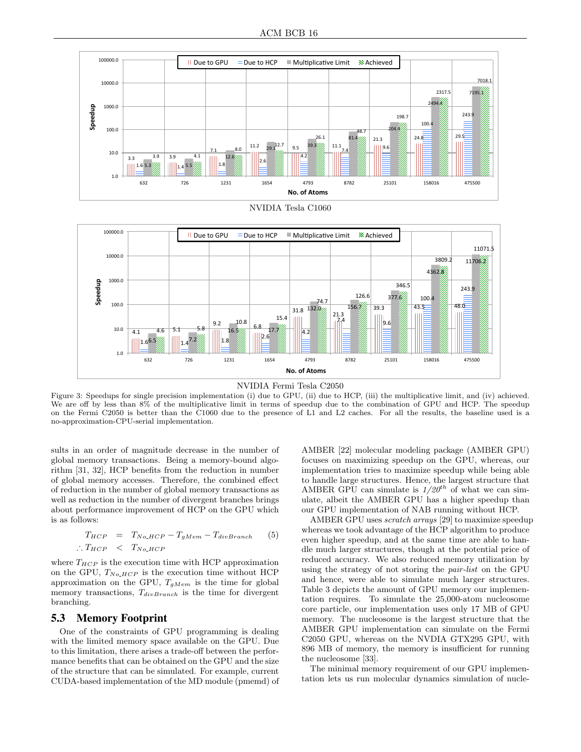



Figure 3: Speedups for single precision implementation (i) due to GPU, (ii) due to HCP, (iii) the multiplicative limit, and (iv) achieved. We are off by less than 8% of the multiplicative limit in terms of speedup due to the combination of GPU and HCP. The speedup on the Fermi C2050 is better than the C1060 due to the presence of L1 and L2 caches. For all the results, the baseline used is a no-approximation-CPU-serial implementation.

sults in an order of magnitude decrease in the number of global memory transactions. Being a memory-bound algorithm [31, 32], HCP benefits from the reduction in number of global memory accesses. Therefore, the combined effect of reduction in the number of global memory transactions as well as reduction in the number of divergent branches brings about performance improvement of HCP on the GPU which is as follows:

$$
T_{HCP} = T_{No\_HCP} - T_{gMem} - T_{divBranch}
$$
 (5)  
 
$$
\therefore T_{HCP} < T_{No\_HCP}
$$

where  $T_{HCP}$  is the execution time with HCP approximation on the GPU,  $T_{No\_HCP}$  is the execution time without HCP approximation on the GPU,  $T_{gMem}$  is the time for global memory transactions,  $T_{divBranch}$  is the time for divergent branching.

#### 5.3 Memory Footprint

One of the constraints of GPU programming is dealing with the limited memory space available on the GPU. Due to this limitation, there arises a trade-off between the performance benefits that can be obtained on the GPU and the size of the structure that can be simulated. For example, current CUDA-based implementation of the MD module (pmemd) of

AMBER [22] molecular modeling package (AMBER GPU) focuses on maximizing speedup on the GPU, whereas, our implementation tries to maximize speedup while being able to handle large structures. Hence, the largest structure that AMBER GPU can simulate is  $1/20^{th}$  of what we can simulate, albeit the AMBER GPU has a higher speedup than our GPU implementation of NAB running without HCP.

AMBER GPU uses scratch arrays [29] to maximize speedup whereas we took advantage of the HCP algorithm to produce even higher speedup, and at the same time are able to handle much larger structures, though at the potential price of reduced accuracy. We also reduced memory utilization by using the strategy of not storing the pair-list on the GPU and hence, were able to simulate much larger structures. Table 3 depicts the amount of GPU memory our implementation requires. To simulate the 25,000-atom nucleosome core particle, our implementation uses only 17 MB of GPU memory. The nucleosome is the largest structure that the AMBER GPU implementation can simulate on the Fermi C2050 GPU, whereas on the NVDIA GTX295 GPU, with 896 MB of memory, the memory is insufficient for running the nucleosome [33].

The minimal memory requirement of our GPU implementation lets us run molecular dynamics simulation of nucle-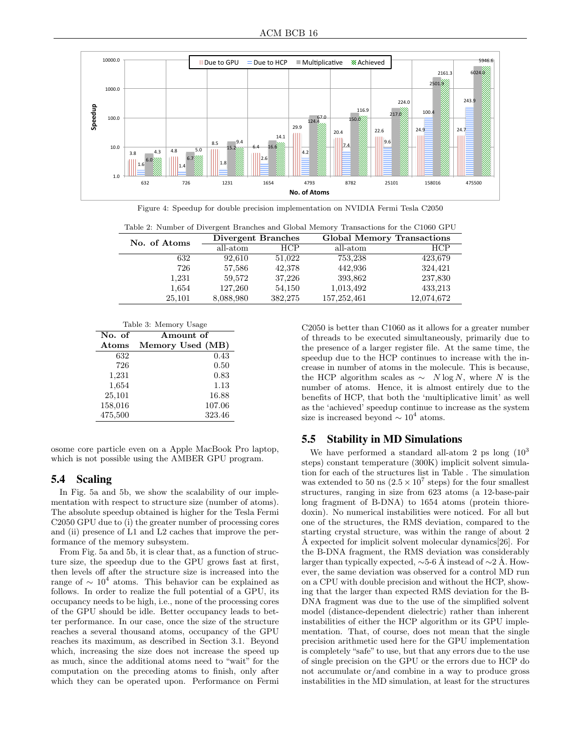

Figure 4: Speedup for double precision implementation on NVIDIA Fermi Tesla C2050

Table 2: Number of Divergent Branches and Global Memory Transactions for the C1060 GPU

| No. of Atoms | Divergent Branches |            | <b>Global Memory Transactions</b> |            |
|--------------|--------------------|------------|-----------------------------------|------------|
|              | all-atom           | <b>HCP</b> | all-atom                          | HCP        |
| 632          | 92,610             | 51,022     | 753,238                           | 423,679    |
| 726          | 57,586             | 42,378     | 442,936                           | 324,421    |
| 1,231        | 59,572             | 37,226     | 393,862                           | 237,830    |
| 1,654        | 127,260            | 54,150     | 1,013,492                         | 433,213    |
| 25,101       | 8,088,980          | 382,275    | 157, 252, 461                     | 12,074,672 |

| Table 3: Memory Usage |                  |  |  |  |
|-----------------------|------------------|--|--|--|
| No. of                | Amount of        |  |  |  |
| Atoms                 | Memory Used (MB) |  |  |  |
| 632                   | 0.43             |  |  |  |
| 726                   | 0.50             |  |  |  |
| 1,231                 | 0.83             |  |  |  |
| 1,654                 | 1.13             |  |  |  |
| 25,101                | 16.88            |  |  |  |
| 158,016               | 107.06           |  |  |  |
| 475,500               | 323.46           |  |  |  |

osome core particle even on a Apple MacBook Pro laptop, which is not possible using the AMBER GPU program.

## 5.4 Scaling

In Fig. 5a and 5b, we show the scalability of our implementation with respect to structure size (number of atoms). The absolute speedup obtained is higher for the Tesla Fermi C2050 GPU due to (i) the greater number of processing cores and (ii) presence of L1 and L2 caches that improve the performance of the memory subsystem.

From Fig. 5a and 5b, it is clear that, as a function of structure size, the speedup due to the GPU grows fast at first, then levels off after the structure size is increased into the range of  $\sim 10^4$  atoms. This behavior can be explained as follows. In order to realize the full potential of a GPU, its occupancy needs to be high, i.e., none of the processing cores of the GPU should be idle. Better occupancy leads to better performance. In our case, once the size of the structure reaches a several thousand atoms, occupancy of the GPU reaches its maximum, as described in Section 3.1. Beyond which, increasing the size does not increase the speed up as much, since the additional atoms need to "wait" for the computation on the preceding atoms to finish, only after which they can be operated upon. Performance on Fermi C2050 is better than C1060 as it allows for a greater number of threads to be executed simultaneously, primarily due to the presence of a larger register file. At the same time, the speedup due to the HCP continues to increase with the increase in number of atoms in the molecule. This is because, the HCP algorithm scales as  $\sim N \log N$ , where N is the number of atoms. Hence, it is almost entirely due to the benefits of HCP, that both the 'multiplicative limit' as well as the 'achieved' speedup continue to increase as the system size is increased beyond  $\sim 10^4$  atoms.

### 5.5 Stability in MD Simulations

We have performed a standard all-atom 2 ps long  $(10^3)$ steps) constant temperature (300K) implicit solvent simulation for each of the structures list in Table . The simulation was extended to 50 ns  $(2.5 \times 10^7 \text{ steps})$  for the four smallest structures, ranging in size from 623 atoms (a 12-base-pair long fragment of B-DNA) to 1654 atoms (protein thioredoxin). No numerical instabilities were noticed. For all but one of the structures, the RMS deviation, compared to the starting crystal structure, was within the range of about 2  $\AA$  expected for implicit solvent molecular dynamics [26]. For the B-DNA fragment, the RMS deviation was considerably larger than typically expected,  $\sim$ 5-6 Å instead of  $\sim$ 2 Å. However, the same deviation was observed for a control MD run on a CPU with double precision and without the HCP, showing that the larger than expected RMS deviation for the B-DNA fragment was due to the use of the simplified solvent model (distance-dependent dielectric) rather than inherent instabilities of either the HCP algorithm or its GPU implementation. That, of course, does not mean that the single precision arithmetic used here for the GPU implementation is completely "safe" to use, but that any errors due to the use of single precision on the GPU or the errors due to HCP do not accumulate or/and combine in a way to produce gross instabilities in the MD simulation, at least for the structures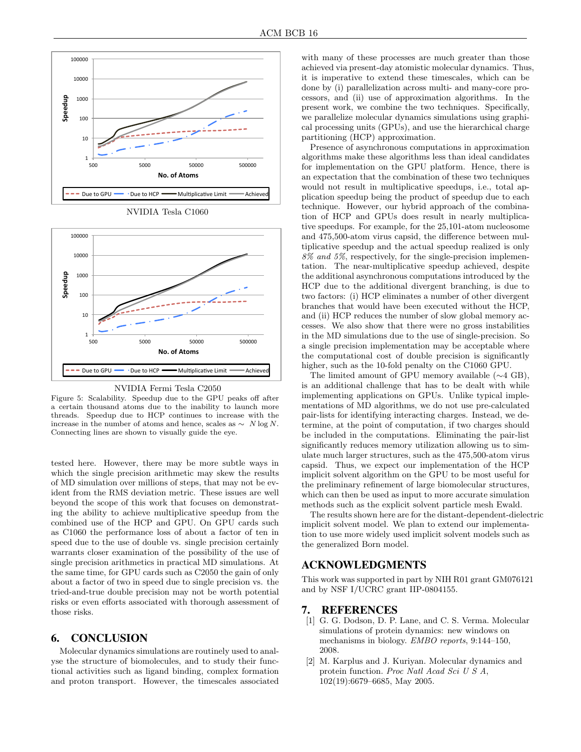

NVIDIA Tesla C1060



NVIDIA Fermi Tesla C2050

Figure 5: Scalability. Speedup due to the GPU peaks off after a certain thousand atoms due to the inability to launch more threads. Speedup due to HCP continues to increase with the increase in the number of atoms and hence, scales as  $\sim N \log N$ . Connecting lines are shown to visually guide the eye.

tested here. However, there may be more subtle ways in which the single precision arithmetic may skew the results of MD simulation over millions of steps, that may not be evident from the RMS deviation metric. These issues are well beyond the scope of this work that focuses on demonstrating the ability to achieve multiplicative speedup from the combined use of the HCP and GPU. On GPU cards such as C1060 the performance loss of about a factor of ten in speed due to the use of double vs. single precision certainly warrants closer examination of the possibility of the use of single precision arithmetics in practical MD simulations. At the same time, for GPU cards such as C2050 the gain of only about a factor of two in speed due to single precision vs. the tried-and-true double precision may not be worth potential risks or even efforts associated with thorough assessment of those risks.

### 6. CONCLUSION

Molecular dynamics simulations are routinely used to analyse the structure of biomolecules, and to study their functional activities such as ligand binding, complex formation and proton transport. However, the timescales associated with many of these processes are much greater than those achieved via present-day atomistic molecular dynamics. Thus, it is imperative to extend these timescales, which can be done by (i) parallelization across multi- and many-core processors, and (ii) use of approximation algorithms. In the present work, we combine the two techniques. Specifically, we parallelize molecular dynamics simulations using graphical processing units (GPUs), and use the hierarchical charge partitioning (HCP) approximation.

Presence of asynchronous computations in approximation algorithms make these algorithms less than ideal candidates for implementation on the GPU platform. Hence, there is an expectation that the combination of these two techniques would not result in multiplicative speedups, i.e., total application speedup being the product of speedup due to each technique. However, our hybrid approach of the combination of HCP and GPUs does result in nearly multiplicative speedups. For example, for the 25,101-atom nucleosome and 475,500-atom virus capsid, the difference between multiplicative speedup and the actual speedup realized is only 8% and 5%, respectively, for the single-precision implementation. The near-multiplicative speedup achieved, despite the additional asynchronous computations introduced by the HCP due to the additional divergent branching, is due to two factors: (i) HCP eliminates a number of other divergent branches that would have been executed without the HCP, and (ii) HCP reduces the number of slow global memory accesses. We also show that there were no gross instabilities in the MD simulations due to the use of single-precision. So a single precision implementation may be acceptable where the computational cost of double precision is significantly higher, such as the 10-fold penalty on the C1060 GPU.

The limited amount of GPU memory available (∼4 GB), is an additional challenge that has to be dealt with while implementing applications on GPUs. Unlike typical implementations of MD algorithms, we do not use pre-calculated pair-lists for identifying interacting charges. Instead, we determine, at the point of computation, if two charges should be included in the computations. Eliminating the pair-list significantly reduces memory utilization allowing us to simulate much larger structures, such as the 475,500-atom virus capsid. Thus, we expect our implementation of the HCP implicit solvent algorithm on the GPU to be most useful for the preliminary refinement of large biomolecular structures, which can then be used as input to more accurate simulation methods such as the explicit solvent particle mesh Ewald.

The results shown here are for the distant-dependent-dielectric implicit solvent model. We plan to extend our implementation to use more widely used implicit solvent models such as the generalized Born model.

### ACKNOWLEDGMENTS

This work was supported in part by NIH R01 grant GM076121 and by NSF I/UCRC grant IIP-0804155.

## 7. REFERENCES

- [1] G. G. Dodson, D. P. Lane, and C. S. Verma. Molecular simulations of protein dynamics: new windows on mechanisms in biology. EMBO reports, 9:144–150, 2008.
- [2] M. Karplus and J. Kuriyan. Molecular dynamics and protein function. Proc Natl Acad Sci U S A, 102(19):6679–6685, May 2005.